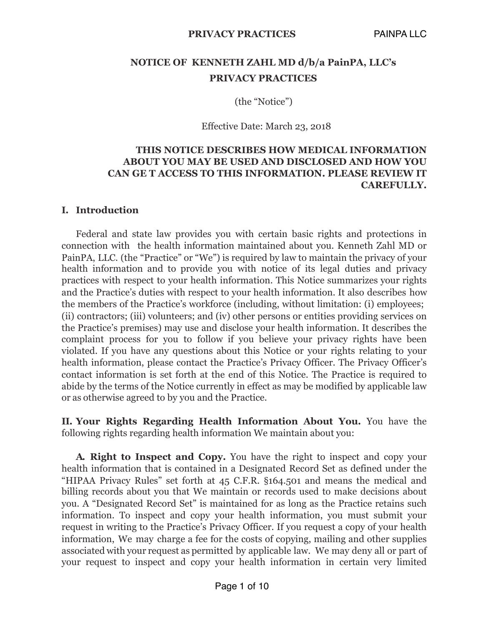# **NOTICE OF KENNETH ZAHL MD d/b/a PainPA, LLC's PRIVACY PRACTICES**

(the "Notice")

Effective Date: March 23, 2018

### **THIS NOTICE DESCRIBES HOW MEDICAL INFORMATION ABOUT YOU MAY BE USED AND DISCLOSED AND HOW YOU CAN GE T ACCESS TO THIS INFORMATION. PLEASE REVIEW IT CAREFULLY.**

#### **I. Introduction**

Federal and state law provides you with certain basic rights and protections in connection with the health information maintained about you. Kenneth Zahl MD or PainPA, LLC. (the "Practice" or "We") is required by law to maintain the privacy of your health information and to provide you with notice of its legal duties and privacy practices with respect to your health information. This Notice summarizes your rights and the Practice's duties with respect to your health information. It also describes how the members of the Practice's workforce (including, without limitation: (i) employees; (ii) contractors; (iii) volunteers; and (iv) other persons or entities providing services on the Practice's premises) may use and disclose your health information. It describes the complaint process for you to follow if you believe your privacy rights have been violated. If you have any questions about this Notice or your rights relating to your health information, please contact the Practice's Privacy Officer. The Privacy Officer's contact information is set forth at the end of this Notice. The Practice is required to abide by the terms of the Notice currently in effect as may be modified by applicable law or as otherwise agreed to by you and the Practice.

**II. Your Rights Regarding Health Information About You.** You have the following rights regarding health information We maintain about you:

**A. Right to Inspect and Copy.** You have the right to inspect and copy your health information that is contained in a Designated Record Set as defined under the "HIPAA Privacy Rules" set forth at 45 C.F.R. §164.501 and means the medical and billing records about you that We maintain or records used to make decisions about you. A "Designated Record Set" is maintained for as long as the Practice retains such information. To inspect and copy your health information, you must submit your request in writing to the Practice's Privacy Officer. If you request a copy of your health information, We may charge a fee for the costs of copying, mailing and other supplies associated with your request as permitted by applicable law. We may deny all or part of your request to inspect and copy your health information in certain very limited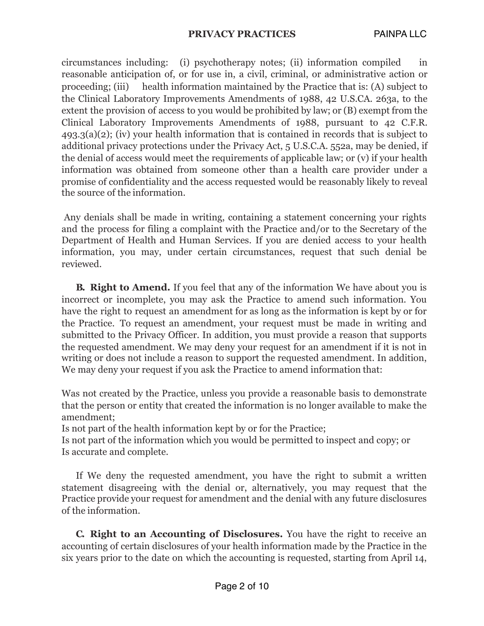circumstances including: (i) psychotherapy notes; (ii) information compiled in reasonable anticipation of, or for use in, a civil, criminal, or administrative action or proceeding; (iii) health information maintained by the Practice that is: (A) subject to the Clinical Laboratory Improvements Amendments of 1988, 42 U.S.CA. 263a, to the extent the provision of access to you would be prohibited by law; or (B) exempt from the Clinical Laboratory Improvements Amendments of 1988, pursuant to 42 C.F.R. 493.3(a)(2); (iv) your health information that is contained in records that is subject to additional privacy protections under the Privacy Act, 5 U.S.C.A. 552a, may be denied, if the denial of access would meet the requirements of applicable law; or (v) if your health information was obtained from someone other than a health care provider under a promise of confidentiality and the access requested would be reasonably likely to reveal the source of the information.

Any denials shall be made in writing, containing a statement concerning your rights and the process for filing a complaint with the Practice and/or to the Secretary of the Department of Health and Human Services. If you are denied access to your health information, you may, under certain circumstances, request that such denial be reviewed.

**B. Right to Amend.** If you feel that any of the information We have about you is incorrect or incomplete, you may ask the Practice to amend such information. You have the right to request an amendment for as long as the information is kept by or for the Practice. To request an amendment, your request must be made in writing and submitted to the Privacy Officer. In addition, you must provide a reason that supports the requested amendment. We may deny your request for an amendment if it is not in writing or does not include a reason to support the requested amendment. In addition, We may deny your request if you ask the Practice to amend information that:

Was not created by the Practice, unless you provide a reasonable basis to demonstrate that the person or entity that created the information is no longer available to make the amendment;

Is not part of the health information kept by or for the Practice;

Is not part of the information which you would be permitted to inspect and copy; or Is accurate and complete.

If We deny the requested amendment, you have the right to submit a written statement disagreeing with the denial or, alternatively, you may request that the Practice provide your request for amendment and the denial with any future disclosures of the information.

**C. Right to an Accounting of Disclosures.** You have the right to receive an accounting of certain disclosures of your health information made by the Practice in the six years prior to the date on which the accounting is requested, starting from April 14,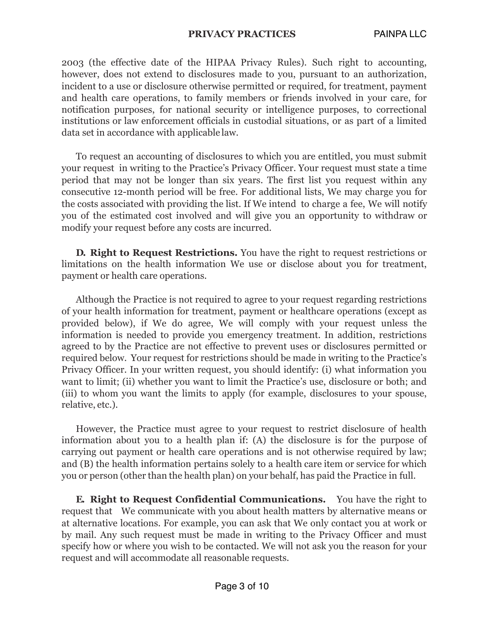#### **PRIVACY PRACTICES** PAINPA LLC

2003 (the effective date of the HIPAA Privacy Rules). Such right to accounting, however, does not extend to disclosures made to you, pursuant to an authorization, incident to a use or disclosure otherwise permitted or required, for treatment, payment and health care operations, to family members or friends involved in your care, for notification purposes, for national security or intelligence purposes, to correctional institutions or law enforcement officials in custodial situations, or as part of a limited data set in accordance with applicable law.

To request an accounting of disclosures to which you are entitled, you must submit your request in writing to the Practice's Privacy Officer. Your request must state a time period that may not be longer than six years. The first list you request within any consecutive 12-month period will be free. For additional lists, We may charge you for the costs associated with providing the list. If We intend to charge a fee, We will notify you of the estimated cost involved and will give you an opportunity to withdraw or modify your request before any costs are incurred.

**D. Right to Request Restrictions.** You have the right to request restrictions or limitations on the health information We use or disclose about you for treatment, payment or health care operations.

Although the Practice is not required to agree to your request regarding restrictions of your health information for treatment, payment or healthcare operations (except as provided below), if We do agree, We will comply with your request unless the information is needed to provide you emergency treatment. In addition, restrictions agreed to by the Practice are not effective to prevent uses or disclosures permitted or required below. Your request for restrictions should be made in writing to the Practice's Privacy Officer. In your written request, you should identify: (i) what information you want to limit; (ii) whether you want to limit the Practice's use, disclosure or both; and (iii) to whom you want the limits to apply (for example, disclosures to your spouse, relative, etc.).

However, the Practice must agree to your request to restrict disclosure of health information about you to a health plan if: (A) the disclosure is for the purpose of carrying out payment or health care operations and is not otherwise required by law; and (B) the health information pertains solely to a health care item or service for which you or person (other than the health plan) on your behalf, has paid the Practice in full.

**E. Right to Request Confidential Communications.** You have the right to request that We communicate with you about health matters by alternative means or at alternative locations. For example, you can ask that We only contact you at work or by mail. Any such request must be made in writing to the Privacy Officer and must specify how or where you wish to be contacted. We will not ask you the reason for your request and will accommodate all reasonable requests.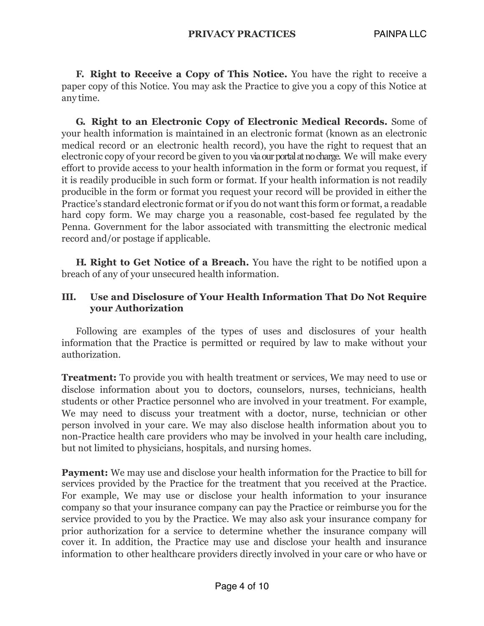**F. Right to Receive a Copy of This Notice.** You have the right to receive a paper copy of this Notice. You may ask the Practice to give you a copy of this Notice at any time.

**G. Right to an Electronic Copy of Electronic Medical Records.** Some of your health information is maintained in an electronic format (known as an electronic medical record or an electronic health record), you have the right to request that an electronic copy of your record be given to you via our portal at no charge. We will make every effort to provide access to your health information in the form or format you request, if it is readily producible in such form or format. If your health information is not readily producible in the form or format you request your record will be provided in either the Practice's standard electronic format or if you do not want this form or format, a readable hard copy form. We may charge you a reasonable, cost-based fee regulated by the Penna. Government for the labor associated with transmitting the electronic medical record and/or postage if applicable.

**H. Right to Get Notice of a Breach.** You have the right to be notified upon a breach of any of your unsecured health information.

#### **III. Use and Disclosure of Your Health Information That Do Not Require your Authorization**

Following are examples of the types of uses and disclosures of your health information that the Practice is permitted or required by law to make without your authorization.

**Treatment:** To provide you with health treatment or services, We may need to use or disclose information about you to doctors, counselors, nurses, technicians, health students or other Practice personnel who are involved in your treatment. For example, We may need to discuss your treatment with a doctor, nurse, technician or other person involved in your care. We may also disclose health information about you to non-Practice health care providers who may be involved in your health care including, but not limited to physicians, hospitals, and nursing homes.

**Payment:** We may use and disclose your health information for the Practice to bill for services provided by the Practice for the treatment that you received at the Practice. For example, We may use or disclose your health information to your insurance company so that your insurance company can pay the Practice or reimburse you for the service provided to you by the Practice. We may also ask your insurance company for prior authorization for a service to determine whether the insurance company will cover it. In addition, the Practice may use and disclose your health and insurance information to other healthcare providers directly involved in your care or who have or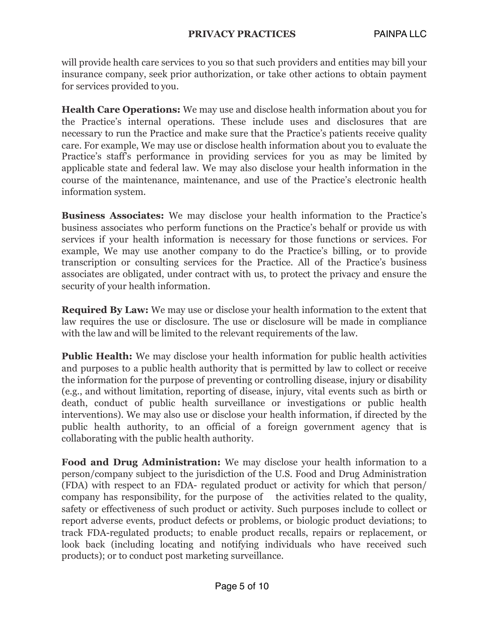will provide health care services to you so that such providers and entities may bill your insurance company, seek prior authorization, or take other actions to obtain payment for services provided to you.

**Health Care Operations:** We may use and disclose health information about you for the Practice's internal operations. These include uses and disclosures that are necessary to run the Practice and make sure that the Practice's patients receive quality care. For example, We may use or disclose health information about you to evaluate the Practice's staff's performance in providing services for you as may be limited by applicable state and federal law. We may also disclose your health information in the course of the maintenance, maintenance, and use of the Practice's electronic health information system.

**Business Associates:** We may disclose your health information to the Practice's business associates who perform functions on the Practice's behalf or provide us with services if your health information is necessary for those functions or services. For example, We may use another company to do the Practice's billing, or to provide transcription or consulting services for the Practice. All of the Practice's business associates are obligated, under contract with us, to protect the privacy and ensure the security of your health information.

**Required By Law:** We may use or disclose your health information to the extent that law requires the use or disclosure. The use or disclosure will be made in compliance with the law and will be limited to the relevant requirements of the law.

**Public Health:** We may disclose your health information for public health activities and purposes to a public health authority that is permitted by law to collect or receive the information for the purpose of preventing or controlling disease, injury or disability (e.g., and without limitation, reporting of disease, injury, vital events such as birth or death, conduct of public health surveillance or investigations or public health interventions). We may also use or disclose your health information, if directed by the public health authority, to an official of a foreign government agency that is collaborating with the public health authority.

**Food and Drug Administration:** We may disclose your health information to a person/company subject to the jurisdiction of the U.S. Food and Drug Administration (FDA) with respect to an FDA- regulated product or activity for which that person/ company has responsibility, for the purpose of the activities related to the quality, safety or effectiveness of such product or activity. Such purposes include to collect or report adverse events, product defects or problems, or biologic product deviations; to track FDA-regulated products; to enable product recalls, repairs or replacement, or look back (including locating and notifying individuals who have received such products); or to conduct post marketing surveillance.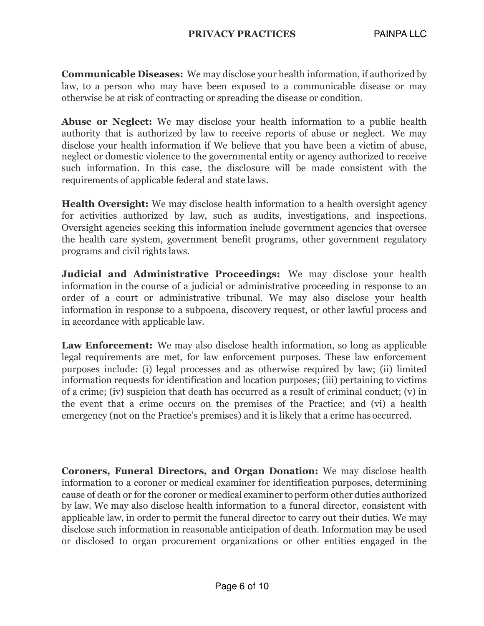**Communicable Diseases:** We may disclose your health information, if authorized by law, to a person who may have been exposed to a communicable disease or may otherwise be at risk of contracting or spreading the disease or condition.

**Abuse or Neglect:** We may disclose your health information to a public health authority that is authorized by law to receive reports of abuse or neglect. We may disclose your health information if We believe that you have been a victim of abuse, neglect or domestic violence to the governmental entity or agency authorized to receive such information. In this case, the disclosure will be made consistent with the requirements of applicable federal and state laws.

**Health Oversight:** We may disclose health information to a health oversight agency for activities authorized by law, such as audits, investigations, and inspections. Oversight agencies seeking this information include government agencies that oversee the health care system, government benefit programs, other government regulatory programs and civil rights laws.

**Judicial and Administrative Proceedings:** We may disclose your health information in the course of a judicial or administrative proceeding in response to an order of a court or administrative tribunal. We may also disclose your health information in response to a subpoena, discovery request, or other lawful process and in accordance with applicable law.

**Law Enforcement:** We may also disclose health information, so long as applicable legal requirements are met, for law enforcement purposes. These law enforcement purposes include: (i) legal processes and as otherwise required by law; (ii) limited information requests for identification and location purposes; (iii) pertaining to victims of a crime; (iv) suspicion that death has occurred as a result of criminal conduct; (v) in the event that a crime occurs on the premises of the Practice; and (vi) a health emergency (not on the Practice's premises) and it is likely that a crime has occurred.

**Coroners, Funeral Directors, and Organ Donation:** We may disclose health information to a coroner or medical examiner for identification purposes, determining cause of death or for the coroner or medical examiner to perform other duties authorized by law. We may also disclose health information to a funeral director, consistent with applicable law, in order to permit the funeral director to carry out their duties. We may disclose such information in reasonable anticipation of death. Information may be used or disclosed to organ procurement organizations or other entities engaged in the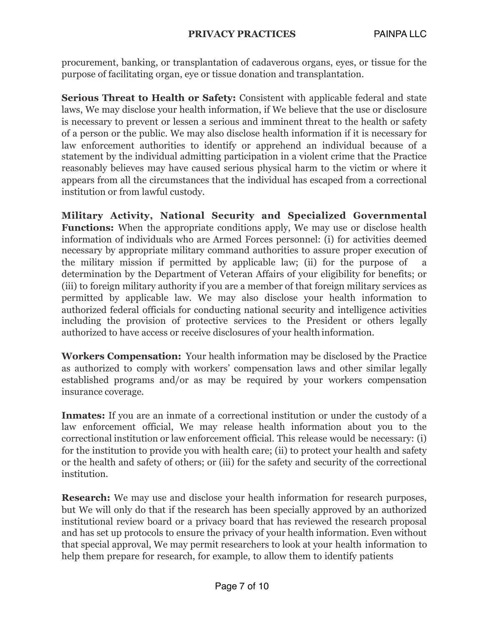procurement, banking, or transplantation of cadaverous organs, eyes, or tissue for the purpose of facilitating organ, eye or tissue donation and transplantation.

**Serious Threat to Health or Safety:** Consistent with applicable federal and state laws, We may disclose your health information, if We believe that the use or disclosure is necessary to prevent or lessen a serious and imminent threat to the health or safety of a person or the public. We may also disclose health information if it is necessary for law enforcement authorities to identify or apprehend an individual because of a statement by the individual admitting participation in a violent crime that the Practice reasonably believes may have caused serious physical harm to the victim or where it appears from all the circumstances that the individual has escaped from a correctional institution or from lawful custody.

**Military Activity, National Security and Specialized Governmental Functions:** When the appropriate conditions apply, We may use or disclose health information of individuals who are Armed Forces personnel: (i) for activities deemed necessary by appropriate military command authorities to assure proper execution of the military mission if permitted by applicable law; (ii) for the purpose of a determination by the Department of Veteran Affairs of your eligibility for benefits; or (iii) to foreign military authority if you are a member of that foreign military services as permitted by applicable law. We may also disclose your health information to authorized federal officials for conducting national security and intelligence activities including the provision of protective services to the President or others legally authorized to have access or receive disclosures of your health information.

**Workers Compensation:** Your health information may be disclosed by the Practice as authorized to comply with workers' compensation laws and other similar legally established programs and/or as may be required by your workers compensation insurance coverage.

**Inmates:** If you are an inmate of a correctional institution or under the custody of a law enforcement official, We may release health information about you to the correctional institution or law enforcement official. This release would be necessary: (i) for the institution to provide you with health care; (ii) to protect your health and safety or the health and safety of others; or (iii) for the safety and security of the correctional institution.

**Research:** We may use and disclose your health information for research purposes, but We will only do that if the research has been specially approved by an authorized institutional review board or a privacy board that has reviewed the research proposal and has set up protocols to ensure the privacy of your health information. Even without that special approval, We may permit researchers to look at your health information to help them prepare for research, for example, to allow them to identify patients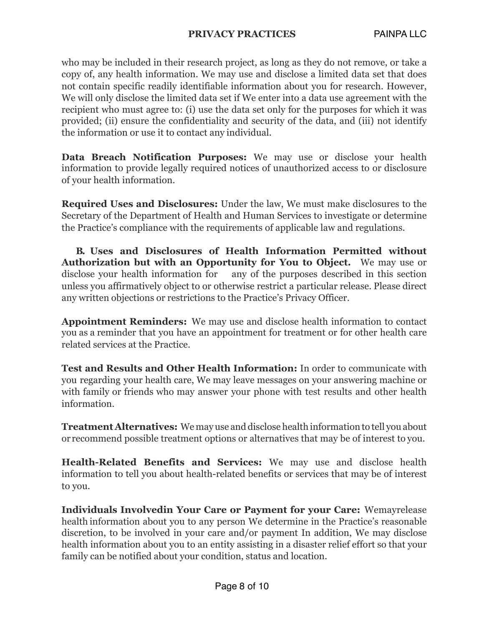who may be included in their research project, as long as they do not remove, or take a copy of, any health information. We may use and disclose a limited data set that does not contain specific readily identifiable information about you for research. However, We will only disclose the limited data set if We enter into a data use agreement with the recipient who must agree to: (i) use the data set only for the purposes for which it was provided; (ii) ensure the confidentiality and security of the data, and (iii) not identify the information or use it to contact any individual.

**Data Breach Notification Purposes:** We may use or disclose your health information to provide legally required notices of unauthorized access to or disclosure of your health information.

**Required Uses and Disclosures:** Under the law, We must make disclosures to the Secretary of the Department of Health and Human Services to investigate or determine the Practice's compliance with the requirements of applicable law and regulations.

**B. Uses and Disclosures of Health Information Permitted without Authorization but with an Opportunity for You to Object.** We may use or disclose your health information for any of the purposes described in this section unless you affirmatively object to or otherwise restrict a particular release. Please direct any written objections or restrictions to the Practice's Privacy Officer.

**Appointment Reminders:** We may use and disclose health information to contact you as a reminder that you have an appointment for treatment or for other health care related services at the Practice.

**Test and Results and Other Health Information:** In order to communicate with you regarding your health care, We may leave messages on your answering machine or with family or friends who may answer your phone with test results and other health information.

**Treatment Alternatives:** We may use and disclose health informationto tell you about or recommend possible treatment options or alternatives that may be of interest to you.

**Health-Related Benefits and Services:** We may use and disclose health information to tell you about health-related benefits or services that may be of interest to you.

**Individuals Involvedin Your Care or Payment for your Care:** Wemayrelease health information about you to any person We determine in the Practice's reasonable discretion, to be involved in your care and/or payment In addition, We may disclose health information about you to an entity assisting in a disaster relief effort so that your family can be notified about your condition, status and location.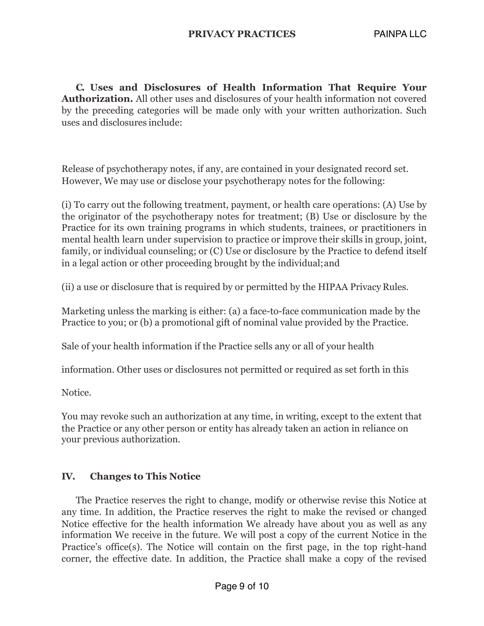**C. Uses and Disclosures of Health Information That Require Your Authorization.** All other uses and disclosures of your health information not covered by the preceding categories will be made only with your written authorization. Such uses and disclosures include:

Release of psychotherapy notes, if any, are contained in your designated record set. However, We may use or disclose your psychotherapy notes for the following:

(i) To carry out the following treatment, payment, or health care operations: (A) Use by the originator of the psychotherapy notes for treatment; (B) Use or disclosure by the Practice for its own training programs in which students, trainees, or practitioners in mental health learn under supervision to practice or improve their skills in group, joint, family, or individual counseling; or (C) Use or disclosure by the Practice to defend itself in a legal action or other proceeding brought by the individual;and

(ii) a use or disclosure that is required by or permitted by the HIPAA Privacy Rules.

Marketing unless the marking is either: (a) a face-to-face communication made by the Practice to you; or (b) a promotional gift of nominal value provided by the Practice.

Sale of your health information if the Practice sells any or all of your health

information. Other uses or disclosures not permitted or required as set forth in this

Notice.

You may revoke such an authorization at any time, in writing, except to the extent that the Practice or any other person or entity has already taken an action in reliance on your previous authorization.

### **IV. Changes to This Notice**

The Practice reserves the right to change, modify or otherwise revise this Notice at any time. In addition, the Practice reserves the right to make the revised or changed Notice effective for the health information We already have about you as well as any information We receive in the future. We will post a copy of the current Notice in the Practice's office(s). The Notice will contain on the first page, in the top right-hand corner, the effective date. In addition, the Practice shall make a copy of the revised